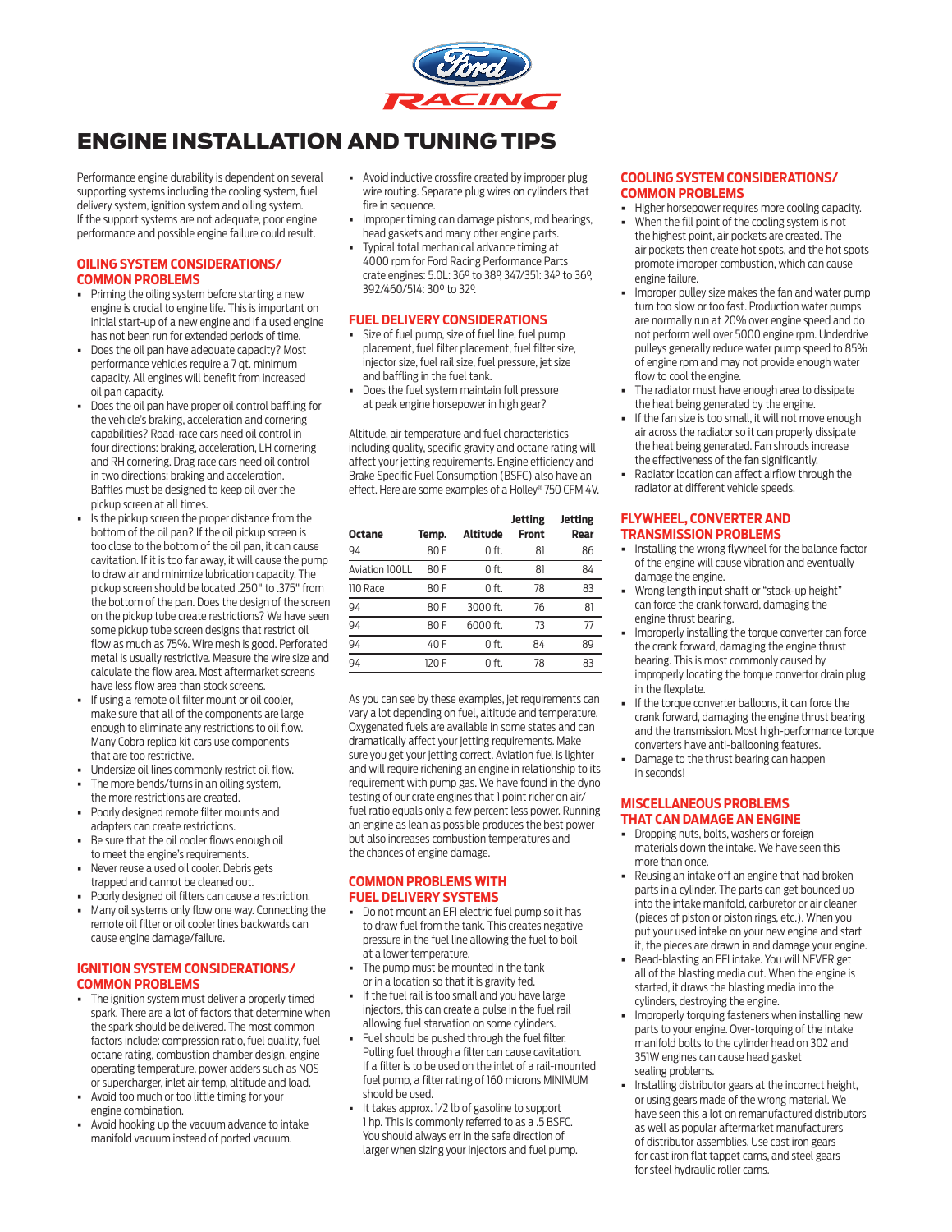

# ENGINE INSTALLATION AND TUNING TIPS

Performance engine durability is dependent on several supporting systems including the cooling system, fuel delivery system, ignition system and oiling system. If the support systems are not adequate, poor engine performance and possible engine failure could result.

#### **OILING SYSTEM CONSIDERATIONS/ COMMON PROBLEMS**

- Priming the oiling system before starting a new engine is crucial to engine life. This is important on initial start-up of a new engine and if a used engine has not been run for extended periods of time.
- Does the oil pan have adequate capacity? Most performance vehicles require a 7 qt. minimum capacity. All engines will benefit from increased oil pan capacity.
- Does the oil pan have proper oil control baffling for the vehicle's braking, acceleration and cornering capabilities? Road-race cars need oil control in four directions: braking, acceleration, LH cornering and RH cornering. Drag race cars need oil control in two directions: braking and acceleration. Baffles must be designed to keep oil over the pickup screen at all times.
- Is the pickup screen the proper distance from the bottom of the oil pan? If the oil pickup screen is too close to the bottom of the oil pan, it can cause cavitation. If it is too far away, it will cause the pump to draw air and minimize lubrication capacity. The pickup screen should be located .250" to .375" from the bottom of the pan. Does the design of the screen on the pickup tube create restrictions? We have seen some pickup tube screen designs that restrict oil flow as much as 75%. Wire mesh is good. Perforated metal is usually restrictive. Measure the wire size and calculate the flow area. Most aftermarket screens have less flow area than stock screens.
- If using a remote oil filter mount or oil cooler, make sure that all of the components are large enough to eliminate any restrictions to oil flow. Many Cobra replica kit cars use components that are too restrictive.
- Undersize oil lines commonly restrict oil flow.
- The more bends/turns in an oiling system, the more restrictions are created.
- Poorly designed remote filter mounts and adapters can create restrictions.
- Be sure that the oil cooler flows enough oil to meet the engine's requirements.
- Never reuse a used oil cooler. Debris gets
- trapped and cannot be cleaned out. • Poorly designed oil filters can cause a restriction.
- Many oil systems only flow one way. Connecting the remote oil filter or oil cooler lines backwards can cause engine damage/failure.

### **IGNITION SYSTEM CONSIDERATIONS/ COMMON PROBLEMS**

- The ignition system must deliver a properly timed spark. There are a lot of factors that determine when the spark should be delivered. The most common factors include: compression ratio, fuel quality, fuel octane rating, combustion chamber design, engine operating temperature, power adders such as NOS or supercharger, inlet air temp, altitude and load.
- Avoid too much or too little timing for your engine combination.
- Avoid hooking up the vacuum advance to intake manifold vacuum instead of ported vacuum.
- Avoid inductive crossfire created by improper plug wire routing. Separate plug wires on cylinders that fire in sequence.
- Improper timing can damage pistons, rod bearings, head gaskets and many other engine parts.
- Typical total mechanical advance timing at 4000 rpm for Ford Racing Performance Parts crate engines: 5.0L: 36° to 38°, 347/351: 34° to 36°, 392/460/514: 30° to 32°.

### **FUEL DELIVERY CONSIDERATIONS**

- Size of fuel pump, size of fuel line, fuel pump placement, fuel filter placement, fuel filter size, injector size, fuel rail size, fuel pressure, jet size and baffling in the fuel tank.
- Does the fuel system maintain full pressure at peak engine horsepower in high gear?

Altitude, air temperature and fuel characteristics including quality, specific gravity and octane rating will affect your jetting requirements. Engine efficiency and Brake Specific Fuel Consumption (BSFC) also have an effect. Here are some examples of a Holley® 750 CFM 4V.

| Octane         | Temp. | Altitude | Jetting<br><b>Front</b> | Jetting<br>Rear |
|----------------|-------|----------|-------------------------|-----------------|
| 94             | 80 F  | 0 ft.    | 81                      | 86              |
| Aviation 100LL | 80 F  | $0$ ft.  | 81                      | 84              |
| 110 Race       | 80 F  | O ft.    | 78                      | 83              |
| 94             | 80 F  | 3000 ft. | 76                      | 81              |
| 94             | 80 F  | 6000 ft. | 73                      | 77              |
| 94             | 40 F  | O ft.    | 84                      | 89              |
| 94             | 120 F | n ft     | 78                      | 83              |

As you can see by these examples, jet requirements can vary a lot depending on fuel, altitude and temperature. Oxygenated fuels are available in some states and can dramatically affect your jetting requirements. Make sure you get your jetting correct. Aviation fuel is lighter and will require richening an engine in relationship to its requirement with pump gas. We have found in the dyno testing of our crate engines that 1 point richer on air/ fuel ratio equals only a few percent less power. Running an engine as lean as possible produces the best power but also increases combustion temperatures and the chances of engine damage.

#### **COMMON PROBLEMS WITH FUEL DELIVERY SYSTEMS**

- Do not mount an EFI electric fuel pump so it has to draw fuel from the tank. This creates negative pressure in the fuel line allowing the fuel to boil at a lower temperature.
- The pump must be mounted in the tank or in a location so that it is gravity fed.
- If the fuel rail is too small and you have large injectors, this can create a pulse in the fuel rail allowing fuel starvation on some cylinders.
- Fuel should be pushed through the fuel filter. Pulling fuel through a filter can cause cavitation. If a filter is to be used on the inlet of a rail-mounted fuel pump, a filter rating of 160 microns MINIMUM should be used.
- It takes approx. 1/2 lb of gasoline to support 1 hp. This is commonly referred to as a .5 BSFC. You should always err in the safe direction of larger when sizing your injectors and fuel pump.

### **COOLING SYSTEM CONSIDERATIONS/ COMMON PROBLEMS**

- Higher horsepower requires more cooling capacity.
- When the fill point of the cooling system is not the highest point, air pockets are created. The air pockets then create hot spots, and the hot spots promote improper combustion, which can cause engine failure.
- Improper pulley size makes the fan and water pump turn too slow or too fast. Production water pumps are normally run at 20% over engine speed and do not perform well over 5000 engine rpm. Underdrive pulleys generally reduce water pump speed to 85% of engine rpm and may not provide enough water flow to cool the engine.
- The radiator must have enough area to dissipate the heat being generated by the engine.
- If the fan size is too small, it will not move enough air across the radiator so it can properly dissipate the heat being generated. Fan shrouds increase the effectiveness of the fan significantly.
- Radiator location can affect airflow through the radiator at different vehicle speeds.

#### **FLYWHEEL, CONVERTER AND TRANSMISSION PROBLEMS**

- Installing the wrong flywheel for the balance factor of the engine will cause vibration and eventually damage the engine.
- Wrong length input shaft or "stack-up height" can force the crank forward, damaging the engine thrust bearing.
- Improperly installing the torque converter can force the crank forward, damaging the engine thrust bearing. This is most commonly caused by improperly locating the torque convertor drain plug in the flexplate.
- If the torque converter balloons, it can force the crank forward, damaging the engine thrust bearing and the transmission. Most high-performance torque converters have anti-ballooning features.
- Damage to the thrust bearing can happen in seconds!

#### **MISCELLANEOUS PROBLEMS THAT CAN DAMAGE AN ENGINE**

- Dropping nuts, bolts, washers or foreign materials down the intake. We have seen this more than once.
- Reusing an intake off an engine that had broken parts in a cylinder. The parts can get bounced up into the intake manifold, carburetor or air cleaner (pieces of piston or piston rings, etc.). When you put your used intake on your new engine and start it, the pieces are drawn in and damage your engine.
- Bead-blasting an EFI intake. You will NEVER get all of the blasting media out. When the engine is started, it draws the blasting media into the cylinders, destroying the engine.
- Improperly torquing fasteners when installing new parts to your engine. Over-torquing of the intake manifold bolts to the cylinder head on 302 and 351W engines can cause head gasket sealing problems.
- Installing distributor gears at the incorrect height, or using gears made of the wrong material. We have seen this a lot on remanufactured distributors as well as popular aftermarket manufacturers of distributor assemblies. Use cast iron gears for cast iron flat tappet cams, and steel gears for steel hydraulic roller cams.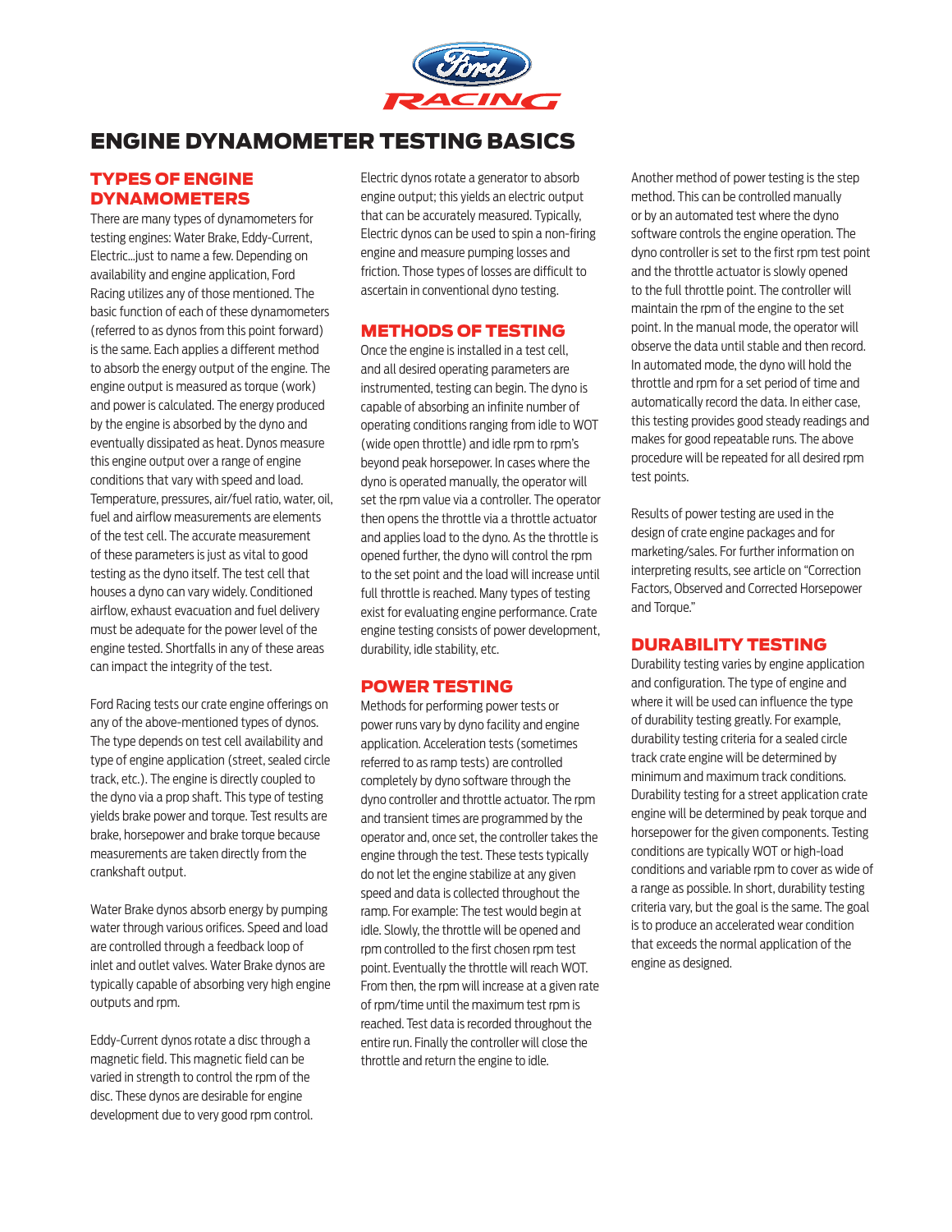

# ENGINE DYNAMOMETER TESTING BASICS

# TYPES OF ENGINE DYNAMOMETERS

There are many types of dynamometers for testing engines: Water Brake, Eddy-Current, Electric…just to name a few. Depending on availability and engine application, Ford Racing utilizes any of those mentioned. The basic function of each of these dynamometers (referred to as dynos from this point forward) is the same. Each applies a different method to absorb the energy output of the engine. The engine output is measured as torque (work) and power is calculated. The energy produced by the engine is absorbed by the dyno and eventually dissipated as heat. Dynos measure this engine output over a range of engine conditions that vary with speed and load. Temperature, pressures, air/fuel ratio, water, oil, fuel and airflow measurements are elements of the test cell. The accurate measurement of these parameters is just as vital to good testing as the dyno itself. The test cell that houses a dyno can vary widely. Conditioned airflow, exhaust evacuation and fuel delivery must be adequate for the power level of the engine tested. Shortfalls in any of these areas can impact the integrity of the test.

Ford Racing tests our crate engine offerings on any of the above-mentioned types of dynos. The type depends on test cell availability and type of engine application (street, sealed circle track, etc.). The engine is directly coupled to the dyno via a prop shaft. This type of testing yields brake power and torque. Test results are brake, horsepower and brake torque because measurements are taken directly from the crankshaft output.

Water Brake dynos absorb energy by pumping water through various orifices. Speed and load are controlled through a feedback loop of inlet and outlet valves. Water Brake dynos are typically capable of absorbing very high engine outputs and rpm.

Eddy-Current dynos rotate a disc through a magnetic field. This magnetic field can be varied in strength to control the rpm of the disc. These dynos are desirable for engine development due to very good rpm control. Electric dynos rotate a generator to absorb engine output; this yields an electric output that can be accurately measured. Typically, Electric dynos can be used to spin a non-firing engine and measure pumping losses and friction. Those types of losses are difficult to ascertain in conventional dyno testing.

### METHODS OF TESTING

Once the engine is installed in a test cell, and all desired operating parameters are instrumented, testing can begin. The dyno is capable of absorbing an infinite number of operating conditions ranging from idle to WOT (wide open throttle) and idle rpm to rpm's beyond peak horsepower. In cases where the dyno is operated manually, the operator will set the rpm value via a controller. The operator then opens the throttle via a throttle actuator and applies load to the dyno. As the throttle is opened further, the dyno will control the rpm to the set point and the load will increase until full throttle is reached. Many types of testing exist for evaluating engine performance. Crate engine testing consists of power development, durability, idle stability, etc.

## POWER TESTING

Methods for performing power tests or power runs vary by dyno facility and engine application. Acceleration tests (sometimes referred to as ramp tests) are controlled completely by dyno software through the dyno controller and throttle actuator. The rpm and transient times are programmed by the operator and, once set, the controller takes the engine through the test. These tests typically do not let the engine stabilize at any given speed and data is collected throughout the ramp. For example: The test would begin at idle. Slowly, the throttle will be opened and rpm controlled to the first chosen rpm test point. Eventually the throttle will reach WOT. From then, the rpm will increase at a given rate of rpm/time until the maximum test rpm is reached. Test data is recorded throughout the entire run. Finally the controller will close the throttle and return the engine to idle.

Another method of power testing is the step method. This can be controlled manually or by an automated test where the dyno software controls the engine operation. The dyno controller is set to the first rpm test point and the throttle actuator is slowly opened to the full throttle point. The controller will maintain the rpm of the engine to the set point. In the manual mode, the operator will observe the data until stable and then record. In automated mode, the dyno will hold the throttle and rpm for a set period of time and automatically record the data. In either case, this testing provides good steady readings and makes for good repeatable runs. The above procedure will be repeated for all desired rpm test points.

Results of power testing are used in the design of crate engine packages and for marketing/sales. For further information on interpreting results, see article on "Correction Factors, Observed and Corrected Horsepower and Torque."

## DURABILITY TESTING

Durability testing varies by engine application and configuration. The type of engine and where it will be used can influence the type of durability testing greatly. For example, durability testing criteria for a sealed circle track crate engine will be determined by minimum and maximum track conditions. Durability testing for a street application crate engine will be determined by peak torque and horsepower for the given components. Testing conditions are typically WOT or high-load conditions and variable rpm to cover as wide of a range as possible. In short, durability testing criteria vary, but the goal is the same. The goal is to produce an accelerated wear condition that exceeds the normal application of the engine as designed.